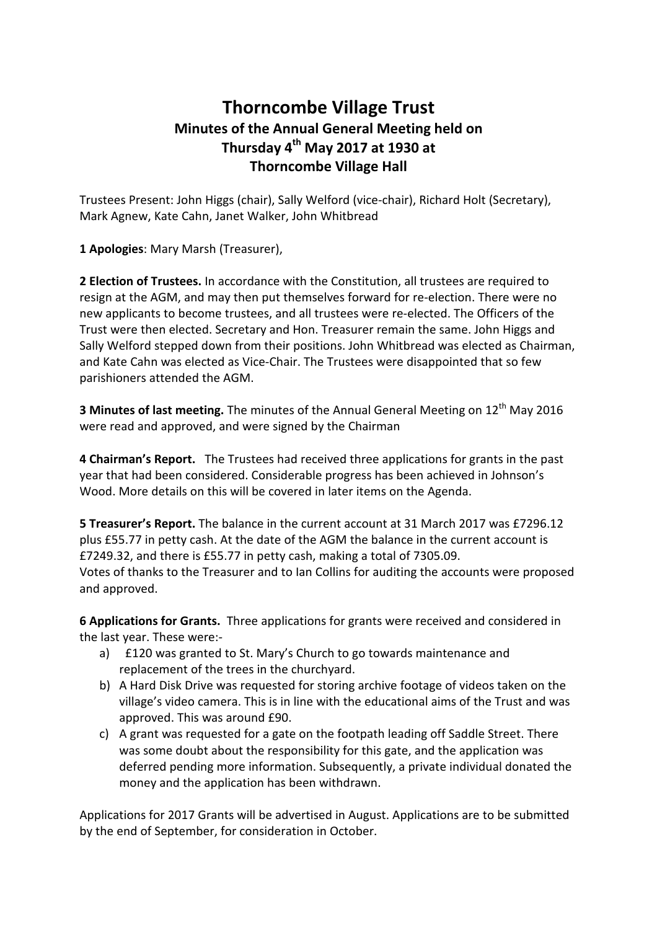## **Thorncombe Village Trust Minutes of the Annual General Meeting held on Thursday 4th May 2017 at 1930 at Thorncombe Village Hall**

Trustees Present: John Higgs (chair), Sally Welford (vice-chair), Richard Holt (Secretary), Mark Agnew, Kate Cahn, Janet Walker, John Whitbread

**1 Apologies**: Mary Marsh (Treasurer),

**2 Election of Trustees.** In accordance with the Constitution, all trustees are required to resign at the AGM, and may then put themselves forward for re-election. There were no new applicants to become trustees, and all trustees were re-elected. The Officers of the Trust were then elected. Secretary and Hon. Treasurer remain the same. John Higgs and Sally Welford stepped down from their positions. John Whitbread was elected as Chairman, and Kate Cahn was elected as Vice-Chair. The Trustees were disappointed that so few parishioners attended the AGM.

**3 Minutes of last meeting.** The minutes of the Annual General Meeting on 12<sup>th</sup> May 2016 were read and approved, and were signed by the Chairman

**4 Chairman's Report.** The Trustees had received three applications for grants in the past year that had been considered. Considerable progress has been achieved in Johnson's Wood. More details on this will be covered in later items on the Agenda.

**5 Treasurer's Report.** The balance in the current account at 31 March 2017 was £7296.12 plus £55.77 in petty cash. At the date of the AGM the balance in the current account is £7249.32, and there is £55.77 in petty cash, making a total of 7305.09. Votes of thanks to the Treasurer and to Ian Collins for auditing the accounts were proposed and approved.

**6 Applications for Grants.** Three applications for grants were received and considered in the last year. These were:-

- a) £120 was granted to St. Mary's Church to go towards maintenance and replacement of the trees in the churchyard.
- b) A Hard Disk Drive was requested for storing archive footage of videos taken on the village's video camera. This is in line with the educational aims of the Trust and was approved. This was around £90.
- c) A grant was requested for a gate on the footpath leading off Saddle Street. There was some doubt about the responsibility for this gate, and the application was deferred pending more information. Subsequently, a private individual donated the money and the application has been withdrawn.

Applications for 2017 Grants will be advertised in August. Applications are to be submitted by the end of September, for consideration in October.